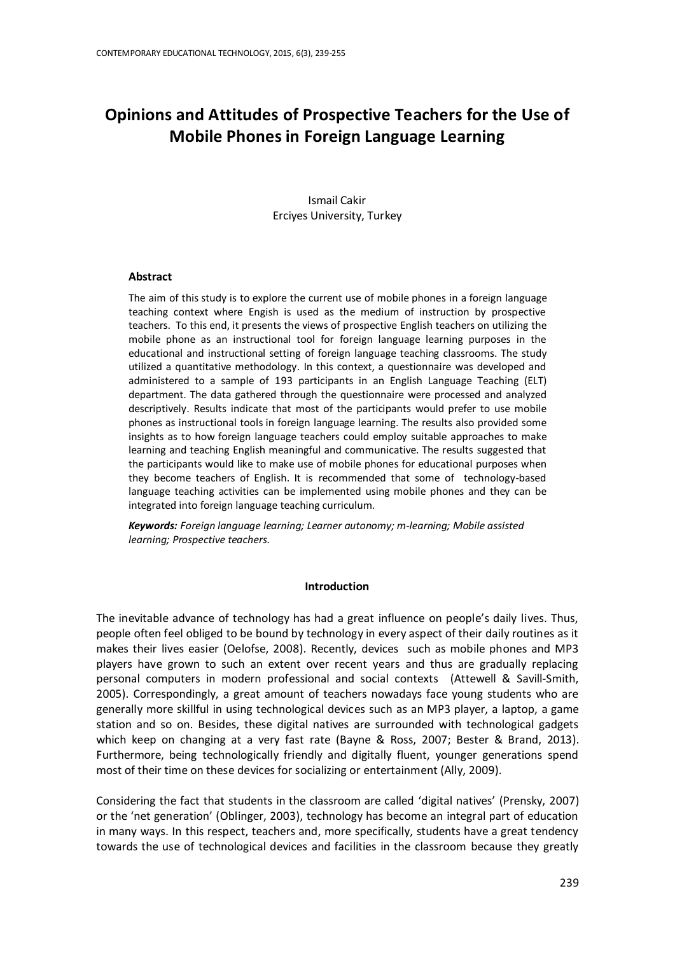# **Opinions and Attitudes of Prospective Teachers for the Use of Mobile Phones in Foreign Language Learning**

Ismail Cakir Erciyes University, Turkey

#### **Abstract**

The aim of this study is to explore the current use of mobile phones in a foreign language teaching context where Engish is used as the medium of instruction by prospective teachers. To this end, it presents the views of prospective English teachers on utilizing the mobile phone as an instructional tool for foreign language learning purposes in the educational and instructional setting of foreign language teaching classrooms. The study utilized a quantitative methodology. In this context, a questionnaire was developed and administered to a sample of 193 participants in an English Language Teaching (ELT) department. The data gathered through the questionnaire were processed and analyzed descriptively. Results indicate that most of the participants would prefer to use mobile phones as instructional tools in foreign language learning. The results also provided some insights as to how foreign language teachers could employ suitable approaches to make learning and teaching English meaningful and communicative. The results suggested that the participants would like to make use of mobile phones for educational purposes when they become teachers of English. It is recommended that some of technology-based language teaching activities can be implemented using mobile phones and they can be integrated into foreign language teaching curriculum*.*

*Keywords: Foreign language learning; Learner autonomy; m-learning; Mobile assisted learning; Prospective teachers.*

#### **Introduction**

The inevitable advance of technology has had a great influence on people's daily lives. Thus, people often feel obliged to be bound by technology in every aspect of their daily routines as it makes their lives easier (Oelofse, 2008). Recently, devices such as mobile phones and MP3 players have grown to such an extent over recent years and thus are gradually replacing personal computers in modern professional and social contexts (Attewell & Savill-Smith, 2005). Correspondingly, a great amount of teachers nowadays face young students who are generally more skillful in using technological devices such as an MP3 player, a laptop, a game station and so on. Besides, these digital natives are surrounded with technological gadgets which keep on changing at a very fast rate (Bayne & Ross, 2007; Bester & Brand, 2013). Furthermore, being technologically friendly and digitally fluent, younger generations spend most of their time on these devices for socializing or entertainment (Ally, 2009).

Considering the fact that students in the classroom are called 'digital natives' (Prensky, 2007) or the 'net generation' (Oblinger, 2003), technology has become an integral part of education in many ways. In this respect, teachers and, more specifically, students have a great tendency towards the use of technological devices and facilities in the classroom because they greatly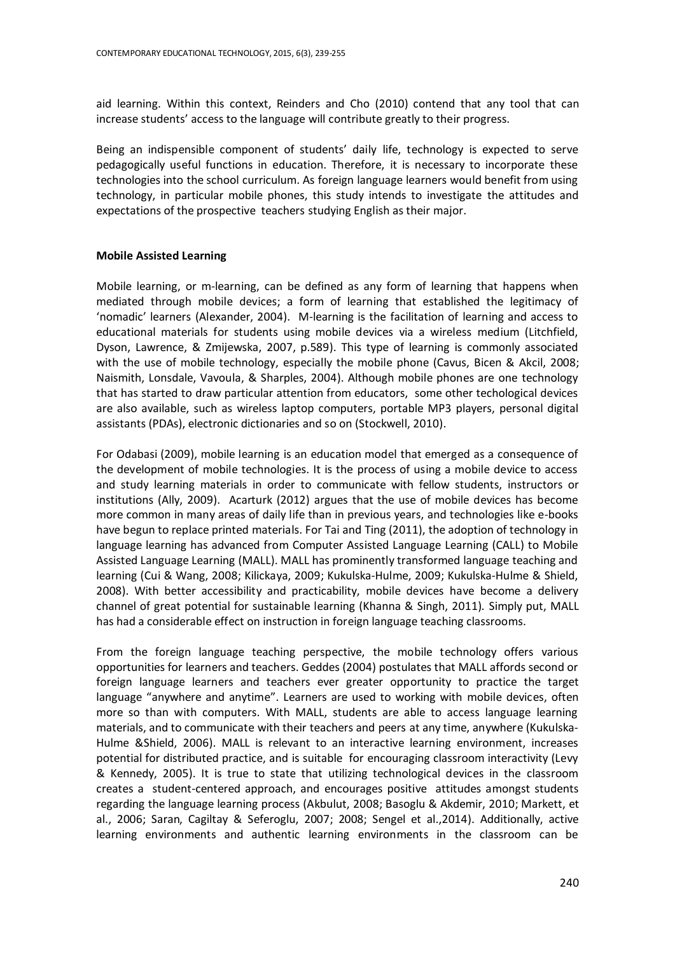aid learning. Within this context, Reinders and Cho (2010) contend that any tool that can increase students' access to the language will contribute greatly to their progress.

Being an indispensible component of students' daily life, technology is expected to serve pedagogically useful functions in education. Therefore, it is necessary to incorporate these technologies into the school curriculum. As foreign language learners would benefit from using technology, in particular mobile phones, this study intends to investigate the attitudes and expectations of the prospective teachers studying English as their major.

# **Mobile Assisted Learning**

Mobile learning, or m-learning, can be defined as any form of learning that happens when mediated through mobile devices; a form of learning that established the legitimacy of 'nomadic' learners (Alexander, 2004). M-learning is the facilitation of learning and access to educational materials for students using mobile devices via a wireless medium (Litchfield, Dyson, Lawrence, & Zmijewska, 2007, p.589). This type of learning is commonly associated with the use of mobile technology, especially the mobile phone (Cavus, Bicen & Akcil, 2008; Naismith, Lonsdale, Vavoula, & Sharples, 2004). Although mobile phones are one technology that has started to draw particular attention from educators, some other techological devices are also available, such as wireless laptop computers, portable MP3 players, personal digital assistants (PDAs), electronic dictionaries and so on (Stockwell, 2010).

For Odabasi (2009), mobile learning is an education model that emerged as a consequence of the development of mobile technologies. It is the process of using a mobile device to access and study learning materials in order to communicate with fellow students, instructors or institutions (Ally, 2009). Acarturk (2012) argues that the use of mobile devices has become more common in many areas of daily life than in previous years, and technologies like e-books have begun to replace printed materials. For Tai and Ting (2011), the adoption of technology in language learning has advanced from Computer Assisted Language Learning (CALL) to Mobile Assisted Language Learning (MALL). MALL has prominently transformed language teaching and learning (Cui & Wang, 2008; Kilickaya, 2009; Kukulska-Hulme, 2009; Kukulska-Hulme & Shield, 2008). With better accessibility and practicability, mobile devices have become a delivery channel of great potential for sustainable learning (Khanna & Singh, 2011). Simply put, MALL has had a considerable effect on instruction in foreign language teaching classrooms.

From the foreign language teaching perspective, the mobile technology offers various opportunities for learners and teachers. Geddes (2004) postulates that MALL affords second or foreign language learners and teachers ever greater opportunity to practice the target language "anywhere and anytime". Learners are used to working with mobile devices, often more so than with computers. With MALL, students are able to access language learning materials, and to communicate with their teachers and peers at any time, anywhere (Kukulska-Hulme &Shield, 2006). MALL is relevant to an interactive learning environment, increases potential for distributed practice, and is suitable for encouraging classroom interactivity (Levy & Kennedy, 2005). It is true to state that utilizing technological devices in the classroom creates a student-centered approach, and encourages positive attitudes amongst students regarding the language learning process (Akbulut, 2008; Basoglu & Akdemir, 2010; Markett, et al., 2006; Saran, Cagiltay & Seferoglu, 2007; 2008; Sengel et al.,2014). Additionally, active learning environments and authentic learning environments in the classroom can be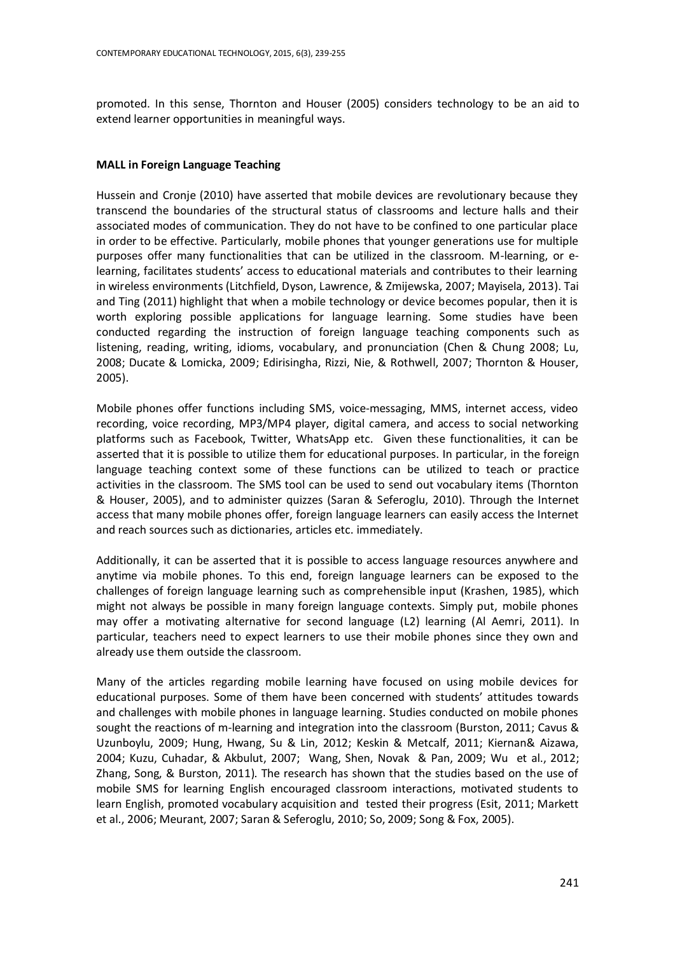promoted. In this sense, Thornton and Houser (2005) considers technology to be an aid to extend learner opportunities in meaningful ways.

## **MALL in Foreign Language Teaching**

Hussein and Cronje (2010) have asserted that mobile devices are revolutionary because they transcend the boundaries of the structural status of classrooms and lecture halls and their associated modes of communication. They do not have to be confined to one particular place in order to be effective. Particularly, mobile phones that younger generations use for multiple purposes offer many functionalities that can be utilized in the classroom. M-learning, or elearning, facilitates students' access to educational materials and contributes to their learning in wireless environments (Litchfield, Dyson, Lawrence, & Zmijewska, 2007; Mayisela, 2013). Tai and Ting (2011) highlight that when a mobile technology or device becomes popular, then it is worth exploring possible applications for language learning. Some studies have been conducted regarding the instruction of foreign language teaching components such as listening, reading, writing, idioms, vocabulary, and pronunciation (Chen & Chung 2008; Lu, 2008; Ducate & Lomicka, 2009; Edirisingha, Rizzi, Nie, & Rothwell, 2007; Thornton & Houser, 2005).

Mobile phones offer functions including SMS, voice-messaging, MMS, internet access, video recording, voice recording, MP3/MP4 player, digital camera, and access to social networking platforms such as Facebook, Twitter, WhatsApp etc. Given these functionalities, it can be asserted that it is possible to utilize them for educational purposes. In particular, in the foreign language teaching context some of these functions can be utilized to teach or practice activities in the classroom. The SMS tool can be used to send out vocabulary items (Thornton & Houser, 2005), and to administer quizzes (Saran & Seferoglu, 2010). Through the Internet access that many mobile phones offer, foreign language learners can easily access the Internet and reach sources such as dictionaries, articles etc. immediately.

Additionally, it can be asserted that it is possible to access language resources anywhere and anytime via mobile phones. To this end, foreign language learners can be exposed to the challenges of foreign language learning such as comprehensible input (Krashen, 1985), which might not always be possible in many foreign language contexts. Simply put, mobile phones may offer a motivating alternative for second language (L2) learning (Al Aemri, 2011). In particular, teachers need to expect learners to use their mobile phones since they own and already use them outside the classroom.

Many of the articles regarding mobile learning have focused on using mobile devices for educational purposes. Some of them have been concerned with students' attitudes towards and challenges with mobile phones in language learning. Studies conducted on mobile phones sought the reactions of m-learning and integration into the classroom (Burston, 2011; Cavus & Uzunboylu, 2009; Hung, Hwang, Su & Lin, 2012; Keskin & Metcalf, 2011; Kiernan& Aizawa, 2004; Kuzu, Cuhadar, & Akbulut, 2007; Wang, Shen, Novak & Pan, 2009; Wu et al., 2012; Zhang, Song, & Burston, 2011). The research has shown that the studies based on the use of mobile SMS for learning English encouraged classroom interactions, motivated students to learn English, promoted vocabulary acquisition and tested their progress (Esit, 2011; Markett et al., 2006; Meurant, 2007; Saran & Seferoglu, 2010; So, 2009; Song & Fox, 2005).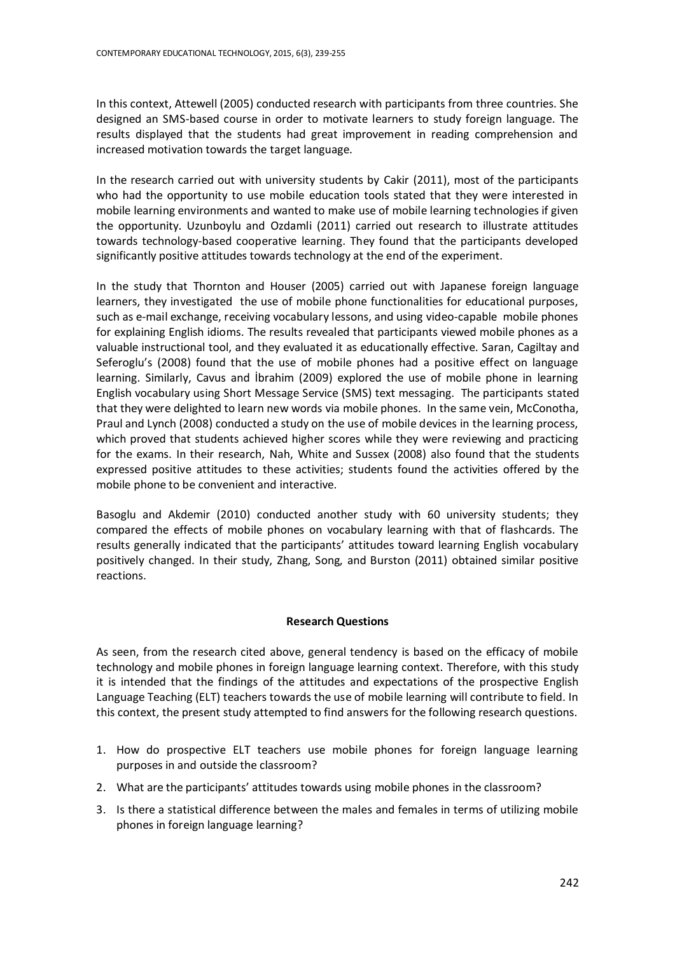In this context, Attewell (2005) conducted research with participants from three countries. She designed an SMS-based course in order to motivate learners to study foreign language. The results displayed that the students had great improvement in reading comprehension and increased motivation towards the target language.

In the research carried out with university students by Cakir (2011), most of the participants who had the opportunity to use mobile education tools stated that they were interested in mobile learning environments and wanted to make use of mobile learning technologies if given the opportunity. Uzunboylu and Ozdamli (2011) carried out research to illustrate attitudes towards technology-based cooperative learning. They found that the participants developed significantly positive attitudes towards technology at the end of the experiment.

In the study that Thornton and Houser (2005) carried out with Japanese foreign language learners, they investigated the use of mobile phone functionalities for educational purposes, such as e-mail exchange, receiving vocabulary lessons, and using video-capable mobile phones for explaining English idioms. The results revealed that participants viewed mobile phones as a valuable instructional tool, and they evaluated it as educationally effective. Saran, Cagiltay and Seferoglu's (2008) found that the use of mobile phones had a positive effect on language learning. Similarly, Cavus and İbrahim (2009) explored the use of mobile phone in learning English vocabulary using Short Message Service (SMS) text messaging. The participants stated that they were delighted to learn new words via mobile phones. In the same vein, McConotha, Praul and Lynch (2008) conducted a study on the use of mobile devices in the learning process, which proved that students achieved higher scores while they were reviewing and practicing for the exams. In their research, Nah, White and Sussex (2008) also found that the students expressed positive attitudes to these activities; students found the activities offered by the mobile phone to be convenient and interactive.

Basoglu and Akdemir (2010) conducted another study with 60 university students; they compared the effects of mobile phones on vocabulary learning with that of flashcards. The results generally indicated that the participants' attitudes toward learning English vocabulary positively changed. In their study, Zhang, Song, and Burston (2011) obtained similar positive reactions.

# **Research Questions**

As seen, from the research cited above, general tendency is based on the efficacy of mobile technology and mobile phones in foreign language learning context. Therefore, with this study it is intended that the findings of the attitudes and expectations of the prospective English Language Teaching (ELT) teachers towards the use of mobile learning will contribute to field. In this context, the present study attempted to find answers for the following research questions.

- 1. How do prospective ELT teachers use mobile phones for foreign language learning purposes in and outside the classroom?
- 2. What are the participants' attitudes towards using mobile phones in the classroom?
- 3. Is there a statistical difference between the males and females in terms of utilizing mobile phones in foreign language learning?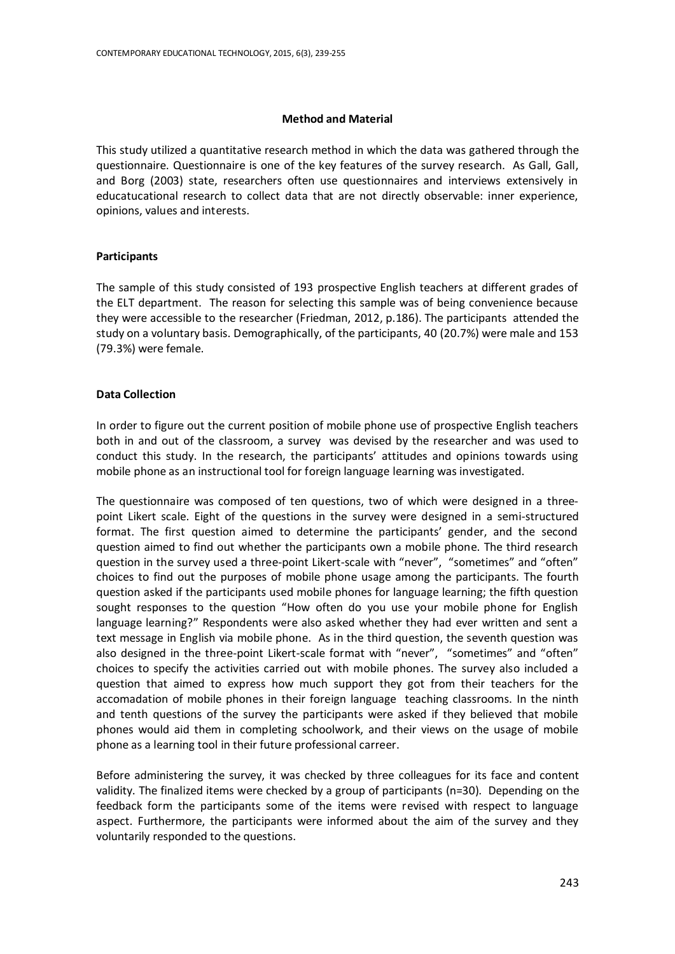#### **Method and Material**

This study utilized a quantitative research method in which the data was gathered through the questionnaire. Questionnaire is one of the key features of the survey research. As Gall, Gall, and Borg (2003) state, researchers often use questionnaires and interviews extensively in educatucational research to collect data that are not directly observable: inner experience, opinions, values and interests.

## **Participants**

The sample of this study consisted of 193 prospective English teachers at different grades of the ELT department. The reason for selecting this sample was of being convenience because they were accessible to the researcher (Friedman, 2012, p.186). The participants attended the study on a voluntary basis. Demographically, of the participants, 40 (20.7%) were male and 153 (79.3%) were female.

## **Data Collection**

In order to figure out the current position of mobile phone use of prospective English teachers both in and out of the classroom, a survey was devised by the researcher and was used to conduct this study. In the research, the participants' attitudes and opinions towards using mobile phone as an instructional tool for foreign language learning was investigated.

The questionnaire was composed of ten questions, two of which were designed in a threepoint Likert scale. Eight of the questions in the survey were designed in a semi-structured format. The first question aimed to determine the participants' gender, and the second question aimed to find out whether the participants own a mobile phone. The third research question in the survey used a three-point Likert-scale with "never", "sometimes" and "often" choices to find out the purposes of mobile phone usage among the participants. The fourth question asked if the participants used mobile phones for language learning; the fifth question sought responses to the question "How often do you use your mobile phone for English language learning?" Respondents were also asked whether they had ever written and sent a text message in English via mobile phone. As in the third question, the seventh question was also designed in the three-point Likert-scale format with "never", "sometimes" and "often" choices to specify the activities carried out with mobile phones. The survey also included a question that aimed to express how much support they got from their teachers for the accomadation of mobile phones in their foreign language teaching classrooms. In the ninth and tenth questions of the survey the participants were asked if they believed that mobile phones would aid them in completing schoolwork, and their views on the usage of mobile phone as a learning tool in their future professional carreer.

Before administering the survey, it was checked by three colleagues for its face and content validity. The finalized items were checked by a group of participants (n=30). Depending on the feedback form the participants some of the items were revised with respect to language aspect. Furthermore, the participants were informed about the aim of the survey and they voluntarily responded to the questions.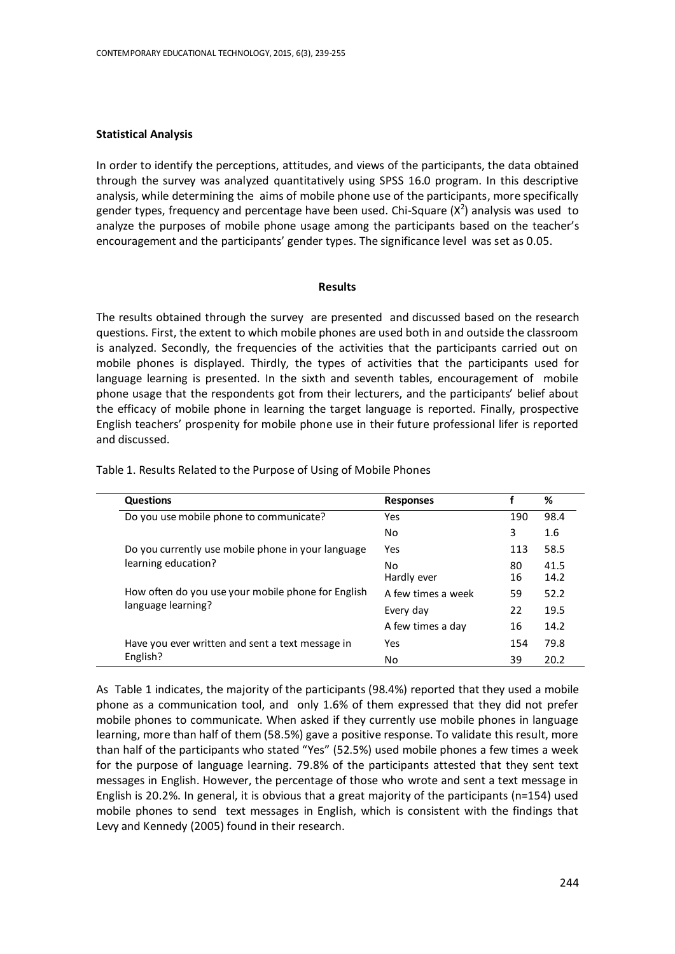# **Statistical Analysis**

In order to identify the perceptions, attitudes, and views of the participants, the data obtained through the survey was analyzed quantitatively using SPSS 16.0 program. In this descriptive analysis, while determining the aims of mobile phone use of the participants, more specifically gender types, frequency and percentage have been used. Chi-Square  $(X^2)$  analysis was used to analyze the purposes of mobile phone usage among the participants based on the teacher's encouragement and the participants' gender types. The significance level was set as 0.05.

#### **Results**

The results obtained through the survey are presented and discussed based on the research questions. First, the extent to which mobile phones are used both in and outside the classroom is analyzed. Secondly, the frequencies of the activities that the participants carried out on mobile phones is displayed. Thirdly, the types of activities that the participants used for language learning is presented. In the sixth and seventh tables, encouragement of mobile phone usage that the respondents got from their lecturers, and the participants' belief about the efficacy of mobile phone in learning the target language is reported. Finally, prospective English teachers' prospenity for mobile phone use in their future professional lifer is reported and discussed.

| <b>Questions</b>                                   | <b>Responses</b>   |          | %            |
|----------------------------------------------------|--------------------|----------|--------------|
| Do you use mobile phone to communicate?            | Yes                | 190      | 98.4         |
|                                                    | No                 | 3        | 1.6          |
| Do you currently use mobile phone in your language | Yes                | 113      | 58.5         |
| learning education?                                | No.<br>Hardly ever | 80<br>16 | 41.5<br>14.2 |
| How often do you use your mobile phone for English | A few times a week | 59       | 52.2         |
| language learning?                                 | Every day          | 22       | 19.5         |
|                                                    | A few times a day  | 16       | 14.2         |
| Have you ever written and sent a text message in   | Yes                | 154      | 79.8         |
| English?                                           | No                 | 39       | 20.2         |

Table 1. Results Related to the Purpose of Using of Mobile Phones

As Table 1 indicates, the majority of the participants (98.4%) reported that they used a mobile phone as a communication tool, and only 1.6% of them expressed that they did not prefer mobile phones to communicate. When asked if they currently use mobile phones in language learning, more than half of them (58.5%) gave a positive response. To validate this result, more than half of the participants who stated "Yes" (52.5%) used mobile phones a few times a week for the purpose of language learning. 79.8% of the participants attested that they sent text messages in English. However, the percentage of those who wrote and sent a text message in English is 20.2%. In general, it is obvious that a great majority of the participants (n=154) used mobile phones to send text messages in English, which is consistent with the findings that Levy and Kennedy (2005) found in their research.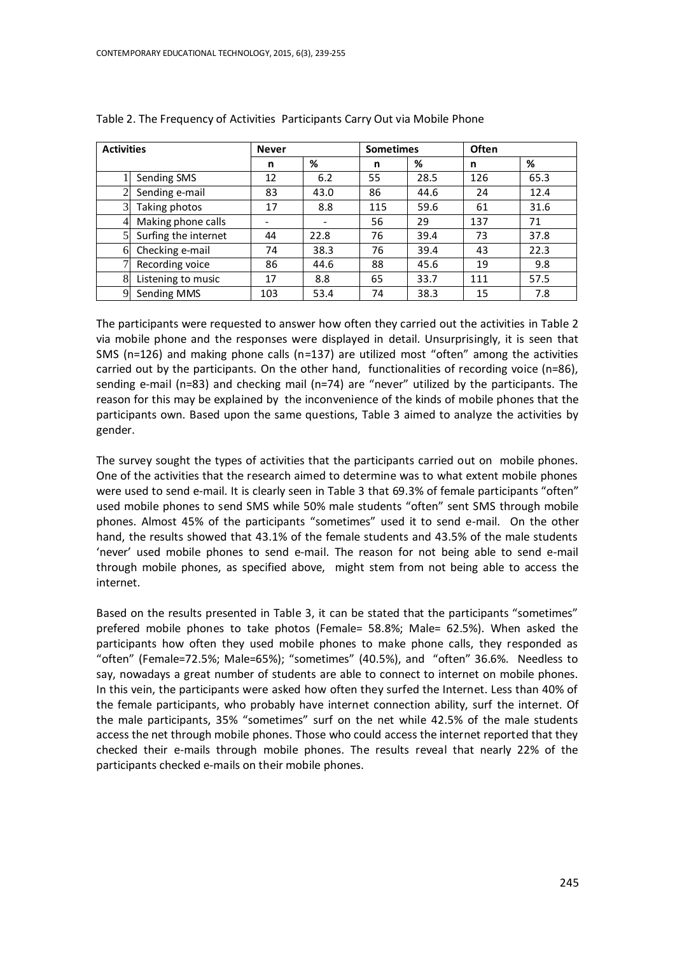|                | <b>Activities</b><br><b>Sometimes</b><br><b>Never</b> |     |      | <b>Often</b> |      |     |      |
|----------------|-------------------------------------------------------|-----|------|--------------|------|-----|------|
|                |                                                       | n   | %    | n            | %    | n   | %    |
|                | Sending SMS                                           | 12  | 6.2  | 55           | 28.5 | 126 | 65.3 |
|                | Sending e-mail                                        | 83  | 43.0 | 86           | 44.6 | 24  | 12.4 |
| 3 <sup>1</sup> | Taking photos                                         | 17  | 8.8  | 115          | 59.6 | 61  | 31.6 |
| $\overline{4}$ | Making phone calls                                    |     |      | 56           | 29   | 137 | 71   |
|                | Surfing the internet                                  | 44  | 22.8 | 76           | 39.4 | 73  | 37.8 |
| 6              | Checking e-mail                                       | 74  | 38.3 | 76           | 39.4 | 43  | 22.3 |
|                | Recording voice                                       | 86  | 44.6 | 88           | 45.6 | 19  | 9.8  |
| 8              | Listening to music                                    | 17  | 8.8  | 65           | 33.7 | 111 | 57.5 |
| 9              | Sending MMS                                           | 103 | 53.4 | 74           | 38.3 | 15  | 7.8  |

Table 2. The Frequency of Activities Participants Carry Out via Mobile Phone

The participants were requested to answer how often they carried out the activities in Table 2 via mobile phone and the responses were displayed in detail. Unsurprisingly, it is seen that SMS (n=126) and making phone calls (n=137) are utilized most "often" among the activities carried out by the participants. On the other hand, functionalities of recording voice (n=86), sending e-mail (n=83) and checking mail (n=74) are "never" utilized by the participants. The reason for this may be explained by the inconvenience of the kinds of mobile phones that the participants own. Based upon the same questions, Table 3 aimed to analyze the activities by gender.

The survey sought the types of activities that the participants carried out on mobile phones. One of the activities that the research aimed to determine was to what extent mobile phones were used to send e-mail. It is clearly seen in Table 3 that 69.3% of female participants "often" used mobile phones to send SMS while 50% male students "often" sent SMS through mobile phones. Almost 45% of the participants "sometimes" used it to send e-mail. On the other hand, the results showed that 43.1% of the female students and 43.5% of the male students 'never' used mobile phones to send e-mail. The reason for not being able to send e-mail through mobile phones, as specified above, might stem from not being able to access the internet.

Based on the results presented in Table 3, it can be stated that the participants "sometimes" prefered mobile phones to take photos (Female= 58.8%; Male= 62.5%). When asked the participants how often they used mobile phones to make phone calls, they responded as "often" (Female=72.5%; Male=65%); "sometimes" (40.5%), and "often" 36.6%. Needless to say, nowadays a great number of students are able to connect to internet on mobile phones. In this vein, the participants were asked how often they surfed the Internet. Less than 40% of the female participants, who probably have internet connection ability, surf the internet. Of the male participants, 35% "sometimes" surf on the net while 42.5% of the male students access the net through mobile phones. Those who could access the internet reported that they checked their e-mails through mobile phones. The results reveal that nearly 22% of the participants checked e-mails on their mobile phones.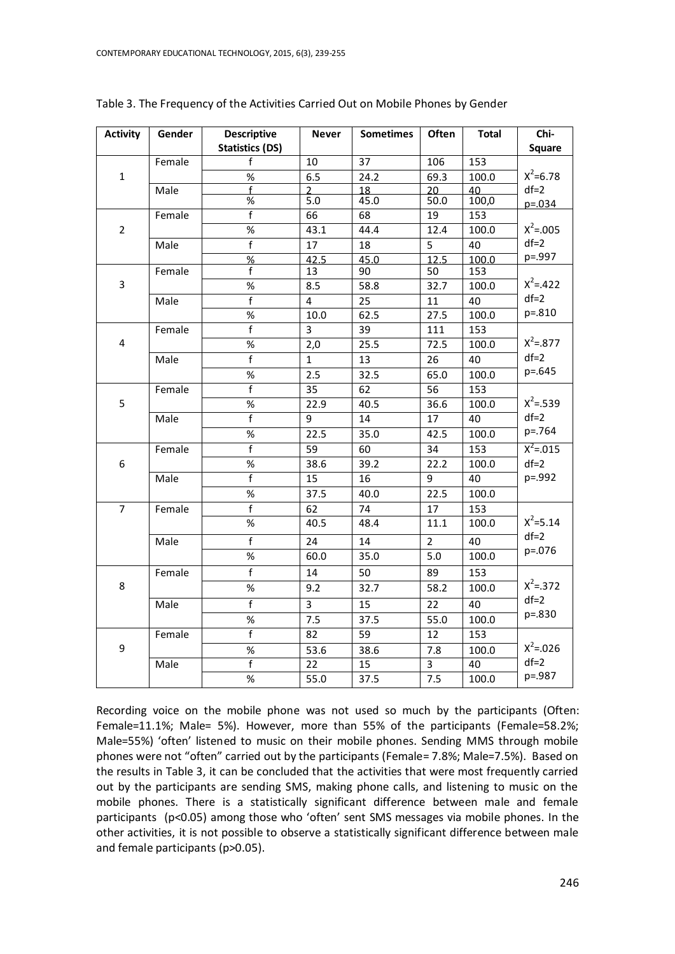| <b>Activity</b>  | Gender | <b>Descriptive</b>      | <b>Never</b>            | <b>Sometimes</b> | Often            | <b>Total</b> | Chi-          |
|------------------|--------|-------------------------|-------------------------|------------------|------------------|--------------|---------------|
|                  |        | <b>Statistics (DS)</b>  |                         |                  |                  |              | <b>Square</b> |
|                  | Female | f                       | 10                      | $\overline{37}$  | 106              | 153          |               |
| $\mathbf{1}$     |        | $\%$                    | 6.5                     | 24.2             | 69.3             | 100.0        | $X^2 = 6.78$  |
|                  | Male   | $\mathbf{f}$            | $\overline{2}$          | 18               | 20               | 40           | $df=2$        |
|                  |        | $\%$                    | 5.0                     | 45.0             | 50.0             | 100,0        | $p = 0.034$   |
|                  | Female | $\overline{f}$          | 66                      | 68               | 19               | 153          |               |
| $\overline{2}$   |        | %                       | 43.1                    | 44.4             | 12.4             | 100.0        | $X^2 = .005$  |
|                  | Male   | $\overline{f}$          | 17                      | 18               | 5                | 40           | $df=2$        |
|                  |        | $\frac{9}{6}$           | 42.5                    | 45.0             | 12.5             | 100.0        | p=.997        |
|                  | Female | f                       | 13                      | 90               | 50               | 153          |               |
| $\overline{3}$   |        | $\%$                    | 8.5                     | 58.8             | 32.7             | 100.0        | $X^2 = .422$  |
|                  | Male   | $\overline{f}$          | $\overline{\mathbf{4}}$ | 25               | 11               | 40           | $df=2$        |
|                  |        | $\%$                    | 10.0                    | 62.5             | 27.5             | 100.0        | p=.810        |
|                  | Female | $\overline{f}$          | 3                       | 39               | 111              | 153          |               |
| $\overline{4}$   |        | $\%$                    | 2,0                     | 25.5             | 72.5             | 100.0        | $X^2 = .877$  |
|                  | Male   | $\overline{f}$          | $\mathbf{1}$            | 13               | 26               | 40           | $df=2$        |
|                  |        | %                       | $\overline{2.5}$        | 32.5             | 65.0             | 100.0        | p=.645        |
|                  | Female | f                       | 35                      | 62               | 56               | 153          |               |
| 5                |        | $\%$                    | 22.9                    | 40.5             | 36.6             | 100.0        | $X^2 = .539$  |
|                  | Male   | $\overline{f}$          | 9                       | 14               | 17               | 40           | $df=2$        |
|                  |        | %                       | 22.5                    | 35.0             | 42.5             | 100.0        | p=.764        |
|                  | Female | $\overline{f}$          | 59                      | 60               | 34               | 153          | $X^2 = 0.015$ |
| 6                |        | %                       | 38.6                    | 39.2             | 22.2             | 100.0        | $df=2$        |
|                  | Male   | $\overline{f}$          | 15                      | 16               | 9                | 40           | p=.992        |
|                  |        | $\%$                    | 37.5                    | 40.0             | 22.5             | 100.0        |               |
| $\overline{7}$   | Female | $\overline{f}$          | 62                      | 74               | 17               | 153          |               |
|                  |        | $\%$                    | 40.5                    | 48.4             | 11.1             | 100.0        | $X^2 = 5.14$  |
|                  | Male   | $\overline{f}$          | 24                      | 14               | $\overline{2}$   | 40           | $df=2$        |
|                  |        | $\%$                    | 60.0                    | 35.0             | $\overline{5.0}$ | 100.0        | p=.076        |
|                  | Female | $\overline{f}$          | 14                      | 50               | 89               | 153          |               |
| 8                |        | %                       | 9.2                     | 32.7             | 58.2             | 100.0        | $X^2 = 372$   |
|                  | Male   | $\overline{f}$          | 3                       | 15               | 22               | 40           | $df=2$        |
|                  |        | %                       | 7.5                     | 37.5             | 55.0             | 100.0        | p=.830        |
|                  | Female | $\overline{\mathsf{f}}$ | 82                      | 59               | 12               | 153          |               |
| $\boldsymbol{9}$ |        | $\%$                    | 53.6                    | 38.6             | 7.8              | 100.0        | $X^2 = 0.026$ |
|                  | Male   | $\overline{f}$          | 22                      | 15               | $\overline{3}$   | 40           | $df=2$        |
|                  |        | $\%$                    | 55.0                    | 37.5             | 7.5              | 100.0        | p=.987        |

Table 3. The Frequency of the Activities Carried Out on Mobile Phones by Gender

Recording voice on the mobile phone was not used so much by the participants (Often: Female=11.1%; Male= 5%). However, more than 55% of the participants (Female=58.2%; Male=55%) 'often' listened to music on their mobile phones. Sending MMS through mobile phones were not "often" carried out by the participants (Female= 7.8%; Male=7.5%). Based on the results in Table 3, it can be concluded that the activities that were most frequently carried out by the participants are sending SMS, making phone calls, and listening to music on the mobile phones. There is a statistically significant difference between male and female participants (p<0.05) among those who 'often' sent SMS messages via mobile phones. In the other activities, it is not possible to observe a statistically significant difference between male and female participants (p>0.05).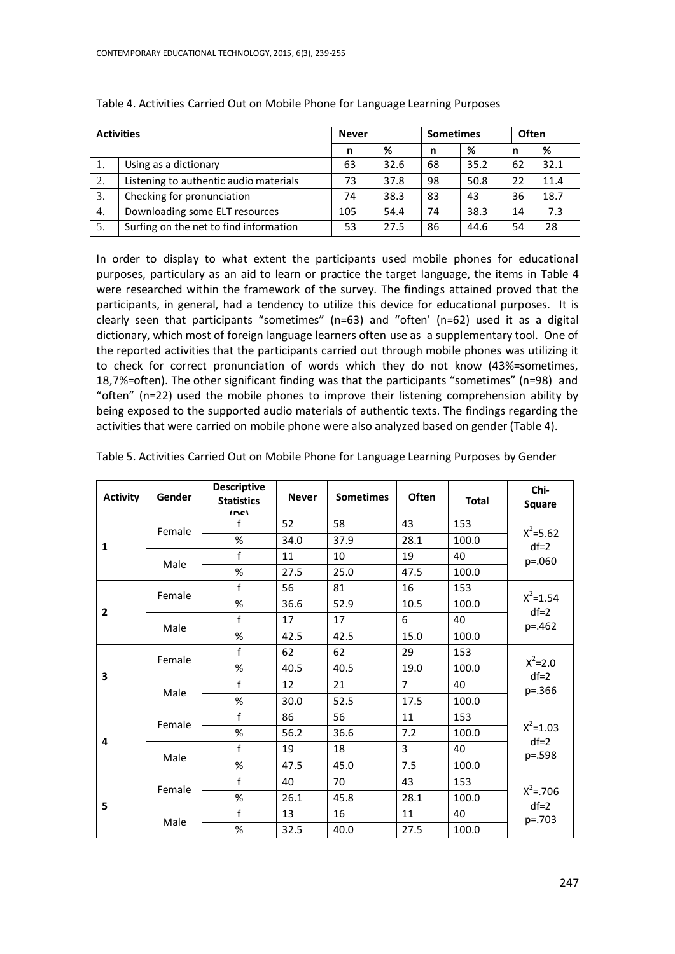| <b>Activities</b> |                                        | <b>Never</b> |      | <b>Sometimes</b> |      | Often |      |
|-------------------|----------------------------------------|--------------|------|------------------|------|-------|------|
|                   |                                        | n            | %    | n                | %    | n     | %    |
|                   | Using as a dictionary                  | 63           | 32.6 | 68               | 35.2 | 62    | 32.1 |
| 2.                | Listening to authentic audio materials | 73           | 37.8 | 98               | 50.8 | 22    | 11.4 |
| 3.                | Checking for pronunciation             | 74           | 38.3 | 83               | 43   | 36    | 18.7 |
| 4.                | Downloading some ELT resources         | 105          | 54.4 | 74               | 38.3 | 14    | 7.3  |
| 5.                | Surfing on the net to find information | 53           | 27.5 | 86               | 44.6 | 54    | 28   |

Table 4. Activities Carried Out on Mobile Phone for Language Learning Purposes

In order to display to what extent the participants used mobile phones for educational purposes, particulary as an aid to learn or practice the target language, the items in Table 4 were researched within the framework of the survey. The findings attained proved that the participants, in general, had a tendency to utilize this device for educational purposes. It is clearly seen that participants "sometimes" (n=63) and "often' (n=62) used it as a digital dictionary, which most of foreign language learners often use as a supplementary tool. One of the reported activities that the participants carried out through mobile phones was utilizing it to check for correct pronunciation of words which they do not know (43%=sometimes, 18,7%=often). The other significant finding was that the participants "sometimes" (n=98) and "often" (n=22) used the mobile phones to improve their listening comprehension ability by being exposed to the supported audio materials of authentic texts. The findings regarding the activities that were carried on mobile phone were also analyzed based on gender (Table 4).

| <b>Activity</b> | Gender         | <b>Descriptive</b><br><b>Statistics</b><br>1001 | <b>Never</b> | <b>Sometimes</b> | <b>Often</b>   | <b>Total</b> | Chi-<br><b>Square</b>  |
|-----------------|----------------|-------------------------------------------------|--------------|------------------|----------------|--------------|------------------------|
|                 | Female         | f                                               | 52           | 58               | 43             | 153          |                        |
| 1               |                | %                                               | 34.0         | 37.9             | 28.1           | 100.0        | $X^2 = 5.62$<br>$df=2$ |
|                 | Male           | f                                               | 11           | 10               | 19             | 40           | p=.060                 |
|                 |                | %                                               | 27.5         | 25.0             | 47.5           | 100.0        |                        |
|                 | Female         | f                                               | 56           | 81               | 16             | 153          |                        |
| $\overline{2}$  |                | %                                               | 36.6         | 52.9             | 10.5           | 100.0        | $X^2 = 1.54$<br>$df=2$ |
|                 | Male           | f                                               | 17           | 17               | 6              | 40           | p=.462                 |
|                 |                | %                                               | 42.5         | 42.5             | 15.0           | 100.0        |                        |
|                 | Female<br>Male | f                                               | 62           | 62               | 29             | 153          |                        |
| 3               |                | %                                               | 40.5         | 40.5             | 19.0           | 100.0        | $X^2 = 2.0$<br>$df=2$  |
|                 |                | f                                               | 12           | 21               | $\overline{7}$ | 40           | p=.366                 |
|                 |                | %                                               | 30.0         | 52.5             | 17.5           | 100.0        |                        |
|                 | Female         | f                                               | 86           | 56               | 11             | 153          |                        |
| 4               |                | %                                               | 56.2         | 36.6             | 7.2            | 100.0        | $X^2 = 1.03$<br>$df=2$ |
|                 | Male           | f                                               | 19           | 18               | 3              | 40           | p=.598                 |
|                 |                | %                                               | 47.5         | 45.0             | 7.5            | 100.0        |                        |
|                 | Female         | f                                               | 40           | 70               | 43             | 153          |                        |
| 5               |                | %                                               | 26.1         | 45.8             | 28.1           | 100.0        | $X^2 = 706$<br>$df=2$  |
|                 | Male           | f                                               | 13           | 16               | 11             | 40           | p=.703                 |
|                 |                | %                                               | 32.5         | 40.0             | 27.5           | 100.0        |                        |

Table 5. Activities Carried Out on Mobile Phone for Language Learning Purposes by Gender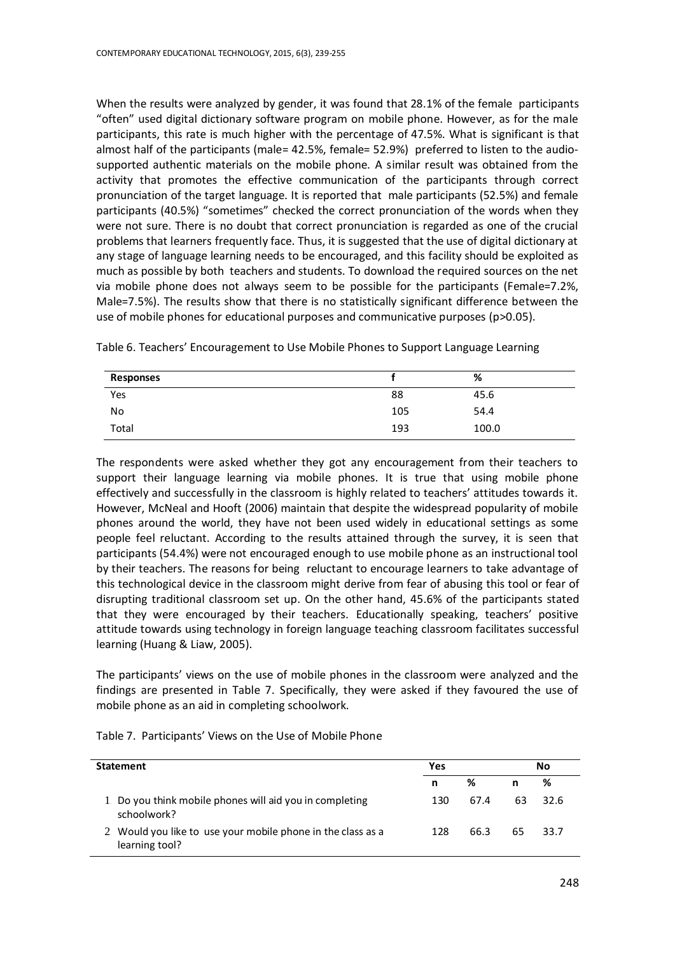When the results were analyzed by gender, it was found that 28.1% of the female participants "often" used digital dictionary software program on mobile phone. However, as for the male participants, this rate is much higher with the percentage of 47.5%. What is significant is that almost half of the participants (male= 42.5%, female= 52.9%) preferred to listen to the audiosupported authentic materials on the mobile phone. A similar result was obtained from the activity that promotes the effective communication of the participants through correct pronunciation of the target language. It is reported that male participants (52.5%) and female participants (40.5%) "sometimes" checked the correct pronunciation of the words when they were not sure. There is no doubt that correct pronunciation is regarded as one of the crucial problems that learners frequently face. Thus, it is suggested that the use of digital dictionary at any stage of language learning needs to be encouraged, and this facility should be exploited as much as possible by both teachers and students. To download the required sources on the net via mobile phone does not always seem to be possible for the participants (Female=7.2%, Male=7.5%). The results show that there is no statistically significant difference between the use of mobile phones for educational purposes and communicative purposes (p>0.05).

| Responses |     | %     |
|-----------|-----|-------|
| Yes       | 88  | 45.6  |
| No        | 105 | 54.4  |
| Total     | 193 | 100.0 |

Table 6. Teachers' Encouragement to Use Mobile Phones to Support Language Learning

The respondents were asked whether they got any encouragement from their teachers to support their language learning via mobile phones. It is true that using mobile phone effectively and successfully in the classroom is highly related to teachers' attitudes towards it. However, McNeal and Hooft (2006) maintain that despite the widespread popularity of mobile phones around the world, they have not been used widely in educational settings as some people feel reluctant. According to the results attained through the survey, it is seen that participants (54.4%) were not encouraged enough to use mobile phone as an instructional tool by their teachers. The reasons for being reluctant to encourage learners to take advantage of this technological device in the classroom might derive from fear of abusing this tool or fear of disrupting traditional classroom set up. On the other hand, 45.6% of the participants stated that they were encouraged by their teachers. Educationally speaking, teachers' positive attitude towards using technology in foreign language teaching classroom facilitates successful learning (Huang & Liaw, 2005).

The participants' views on the use of mobile phones in the classroom were analyzed and the findings are presented in Table 7. Specifically, they were asked if they favoured the use of mobile phone as an aid in completing schoolwork.

|  |  | Table 7. Participants' Views on the Use of Mobile Phone |
|--|--|---------------------------------------------------------|
|--|--|---------------------------------------------------------|

| <b>Statement</b>                                                               |     |      | No. |        |  |
|--------------------------------------------------------------------------------|-----|------|-----|--------|--|
|                                                                                | n   | %    | n   | %      |  |
| 1 Do you think mobile phones will aid you in completing<br>schoolwork?         | 130 | 67.4 | 63  | - 32.6 |  |
| 2. Would you like to use your mobile phone in the class as a<br>learning tool? | 128 | 66.3 | 65  | 33.7   |  |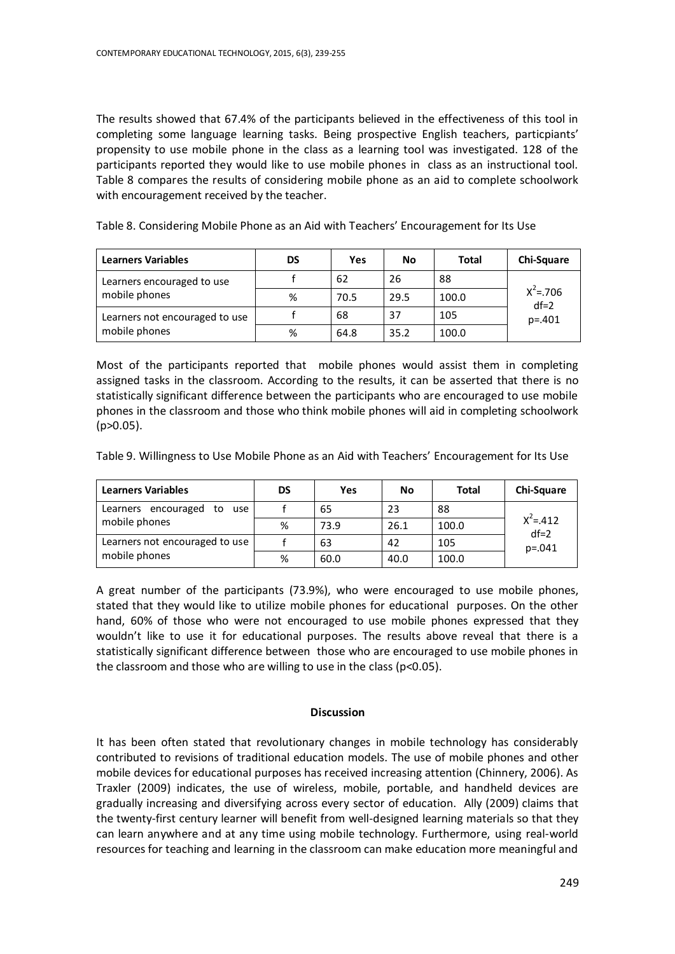The results showed that 67.4% of the participants believed in the effectiveness of this tool in completing some language learning tasks. Being prospective English teachers, particpiants' propensity to use mobile phone in the class as a learning tool was investigated. 128 of the participants reported they would like to use mobile phones in class as an instructional tool. Table 8 compares the results of considering mobile phone as an aid to complete schoolwork with encouragement received by the teacher.

| <b>Learners Variables</b>                   | DS | Yes  | No   | Total | <b>Chi-Square</b>     |
|---------------------------------------------|----|------|------|-------|-----------------------|
| Learners encouraged to use<br>mobile phones |    | 62   | 26   | 88    |                       |
|                                             | %  | 70.5 | 29.5 | 100.0 | $X^2 = 706$<br>$df=2$ |
| Learners not encouraged to use              |    | 68   | 37   | 105   | $p = 401$             |
| mobile phones                               | %  | 64.8 | 35.2 | 100.0 |                       |

Table 8. Considering Mobile Phone as an Aid with Teachers' Encouragement for Its Use

Most of the participants reported that mobile phones would assist them in completing assigned tasks in the classroom. According to the results, it can be asserted that there is no statistically significant difference between the participants who are encouraged to use mobile phones in the classroom and those who think mobile phones will aid in completing schoolwork (p>0.05).

Table 9. Willingness to Use Mobile Phone as an Aid with Teachers' Encouragement for Its Use

| <b>Learners Variables</b>        | DS | Yes  | No   | Total | <b>Chi-Square</b>     |
|----------------------------------|----|------|------|-------|-----------------------|
| Learners encouraged<br>to<br>use |    | 65   | 23   | 88    |                       |
| mobile phones                    | %  | 73.9 | 26.1 | 100.0 | $X^2 = 412$<br>$df=2$ |
| Learners not encouraged to use   |    | 63   | 42   | 105   | $p = 0.041$           |
| mobile phones                    | %  | 60.0 | 40.0 | 100.0 |                       |

A great number of the participants (73.9%), who were encouraged to use mobile phones, stated that they would like to utilize mobile phones for educational purposes. On the other hand, 60% of those who were not encouraged to use mobile phones expressed that they wouldn't like to use it for educational purposes. The results above reveal that there is a statistically significant difference between those who are encouraged to use mobile phones in the classroom and those who are willing to use in the class ( $p$ <0.05).

#### **Discussion**

It has been often stated that revolutionary changes in mobile technology has considerably contributed to revisions of traditional education models. The use of mobile phones and other mobile devices for educational purposes has received increasing attention (Chinnery, 2006). As Traxler (2009) indicates, the use of wireless, mobile, portable, and handheld devices are gradually increasing and diversifying across every sector of education. Ally (2009) claims that the twenty-first century learner will benefit from well-designed learning materials so that they can learn anywhere and at any time using mobile technology. Furthermore, using real-world resources for teaching and learning in the classroom can make education more meaningful and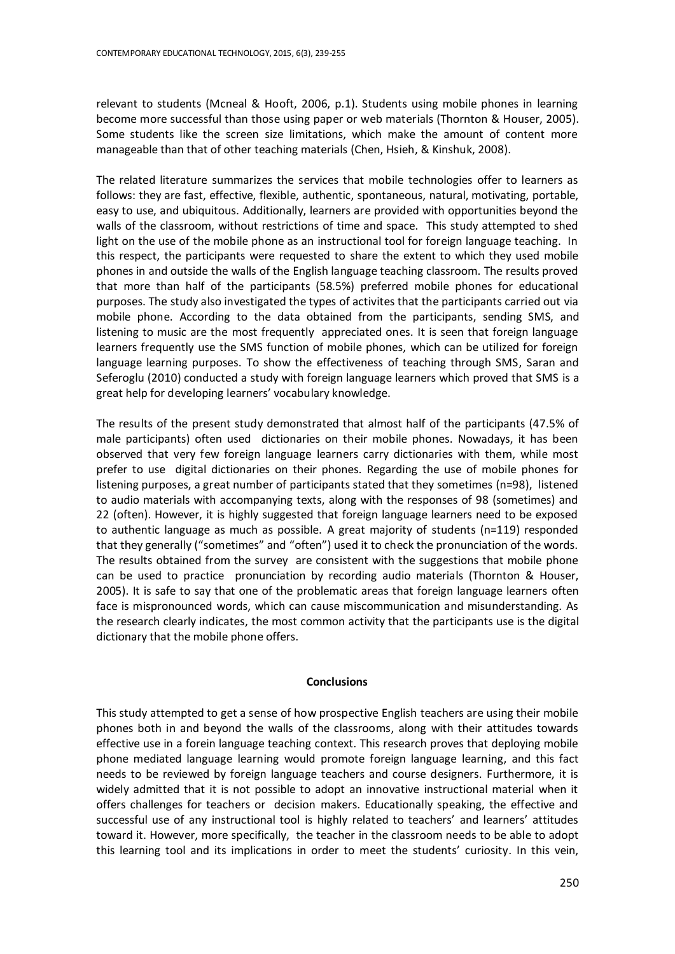relevant to students (Mcneal & Hooft, 2006, p.1). Students using mobile phones in learning become more successful than those using paper or web materials (Thornton & Houser, 2005). Some students like the screen size limitations, which make the amount of content more manageable than that of other teaching materials (Chen, Hsieh, & Kinshuk, 2008).

The related literature summarizes the services that mobile technologies offer to learners as follows: they are fast, effective, flexible, authentic, spontaneous, natural, motivating, portable, easy to use, and ubiquitous. Additionally, learners are provided with opportunities beyond the walls of the classroom, without restrictions of time and space. This study attempted to shed light on the use of the mobile phone as an instructional tool for foreign language teaching. In this respect, the participants were requested to share the extent to which they used mobile phones in and outside the walls of the English language teaching classroom. The results proved that more than half of the participants (58.5%) preferred mobile phones for educational purposes. The study also investigated the types of activites that the participants carried out via mobile phone. According to the data obtained from the participants, sending SMS, and listening to music are the most frequently appreciated ones. It is seen that foreign language learners frequently use the SMS function of mobile phones, which can be utilized for foreign language learning purposes. To show the effectiveness of teaching through SMS, Saran and Seferoglu (2010) conducted a study with foreign language learners which proved that SMS is a great help for developing learners' vocabulary knowledge.

The results of the present study demonstrated that almost half of the participants (47.5% of male participants) often used dictionaries on their mobile phones. Nowadays, it has been observed that very few foreign language learners carry dictionaries with them, while most prefer to use digital dictionaries on their phones. Regarding the use of mobile phones for listening purposes, a great number of participants stated that they sometimes (n=98), listened to audio materials with accompanying texts, along with the responses of 98 (sometimes) and 22 (often). However, it is highly suggested that foreign language learners need to be exposed to authentic language as much as possible. A great majority of students (n=119) responded that they generally ("sometimes" and "often") used it to check the pronunciation of the words. The results obtained from the survey are consistent with the suggestions that mobile phone can be used to practice pronunciation by recording audio materials (Thornton & Houser, 2005). It is safe to say that one of the problematic areas that foreign language learners often face is mispronounced words, which can cause miscommunication and misunderstanding. As the research clearly indicates, the most common activity that the participants use is the digital dictionary that the mobile phone offers.

## **Conclusions**

This study attempted to get a sense of how prospective English teachers are using their mobile phones both in and beyond the walls of the classrooms, along with their attitudes towards effective use in a forein language teaching context. This research proves that deploying mobile phone mediated language learning would promote foreign language learning, and this fact needs to be reviewed by foreign language teachers and course designers. Furthermore, it is widely admitted that it is not possible to adopt an innovative instructional material when it offers challenges for teachers or decision makers. Educationally speaking, the effective and successful use of any instructional tool is highly related to teachers' and learners' attitudes toward it. However, more specifically, the teacher in the classroom needs to be able to adopt this learning tool and its implications in order to meet the students' curiosity. In this vein,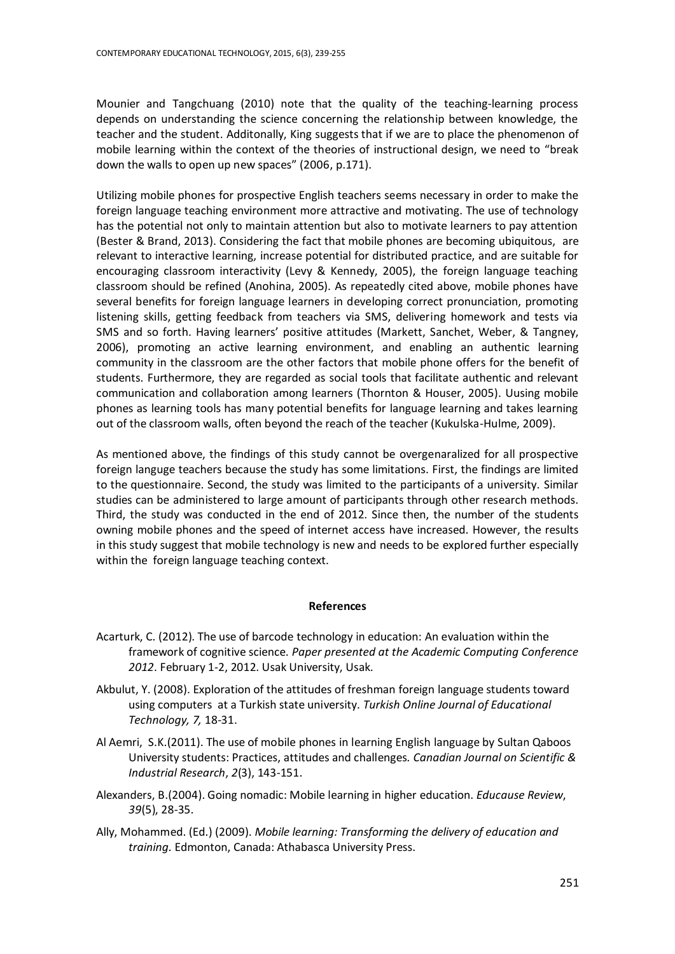Mounier and Tangchuang (2010) note that the quality of the teaching-learning process depends on understanding the science concerning the relationship between knowledge, the teacher and the student. Additonally, King suggests that if we are to place the phenomenon of mobile learning within the context of the theories of instructional design, we need to "break down the walls to open up new spaces" (2006, p.171).

Utilizing mobile phones for prospective English teachers seems necessary in order to make the foreign language teaching environment more attractive and motivating. The use of technology has the potential not only to maintain attention but also to motivate learners to pay attention (Bester & Brand, 2013). Considering the fact that mobile phones are becoming ubiquitous, are relevant to interactive learning, increase potential for distributed practice, and are suitable for encouraging classroom interactivity (Levy & Kennedy, 2005), the foreign language teaching classroom should be refined (Anohina, 2005). As repeatedly cited above, mobile phones have several benefits for foreign language learners in developing correct pronunciation, promoting listening skills, getting feedback from teachers via SMS, delivering homework and tests via SMS and so forth. Having learners' positive attitudes (Markett, Sanchet, Weber, & Tangney, 2006), promoting an active learning environment, and enabling an authentic learning community in the classroom are the other factors that mobile phone offers for the benefit of students. Furthermore, they are regarded as social tools that facilitate authentic and relevant communication and collaboration among learners (Thornton & Houser, 2005). Uusing mobile phones as learning tools has many potential benefits for language learning and takes learning out of the classroom walls, often beyond the reach of the teacher (Kukulska-Hulme, 2009).

As mentioned above, the findings of this study cannot be overgenaralized for all prospective foreign languge teachers because the study has some limitations. First, the findings are limited to the questionnaire. Second, the study was limited to the participants of a university. Similar studies can be administered to large amount of participants through other research methods. Third, the study was conducted in the end of 2012. Since then, the number of the students owning mobile phones and the speed of internet access have increased. However, the results in this study suggest that mobile technology is new and needs to be explored further especially within the foreign language teaching context.

# **References**

- Acarturk, C. (2012). The use of barcode technology in education: An evaluation within the framework of cognitive science. *Paper presented at the Academic Computing Conference 2012*. February 1-2, 2012. Usak University, Usak.
- Akbulut, Y. (2008). Exploration of the attitudes of freshman foreign language students toward using computers at a Turkish state university. *Turkish Online Journal of Educational Technology, 7,* 18-31.
- Al Aemri, S.K.(2011). The use of mobile phones in learning English language by Sultan Qaboos University students: Practices, attitudes and challenges*. Canadian Journal on Scientific & Industrial Research*, *2*(3), 143-151.
- Alexanders, B.(2004). Going nomadic: Mobile learning in higher education. *Educause Review*, *39*(5), 28-35.
- Ally, Mohammed. (Ed.) (2009). *[Mobile learning: Transforming the delivery of education and](http://www.aupress.ca/books/120155/ebook/99Z_Mohamed_Ally_2009-MobileLearning.pdf)  [training.](http://www.aupress.ca/books/120155/ebook/99Z_Mohamed_Ally_2009-MobileLearning.pdf)* Edmonton, Canada: Athabasca University Press.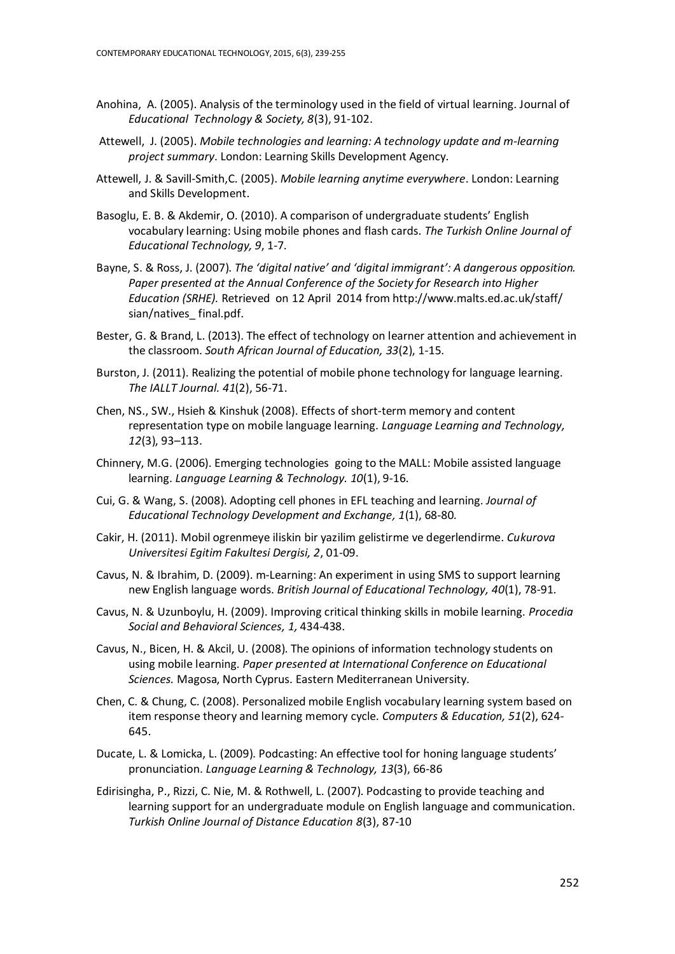- Anohina, A. (2005). Analysis of the terminology used in the field of virtual learning. Journal of *Educational Technology & Society, 8*(3), 91-102.
- Attewell, J. (2005). *Mobile technologies and learning: A technology update and m-learning project summary*. London: Learning Skills Development Agency.
- Attewell, J. & Savill-Smith,C. (2005). *Mobile learning anytime everywhere*. London: Learning and Skills Development.
- Basoglu, E. B. & Akdemir, O. (2010). A comparison of undergraduate students' English vocabulary learning: Using mobile phones and flash cards. *The Turkish Online Journal of Educational Technology, 9*, 1-7.
- Bayne, S. & Ross, J. (2007). *The 'digital native' and 'digital immigrant': A dangerous opposition. Paper presented at the Annual Conference of the Society for Research into Higher Education (SRHE).* Retrieved on 12 April 2014 fro[m http://www.malts.ed.ac.uk/staff/](http://www.malts.ed.ac.uk/staff/%20sian/natives_%20final.pdf)  sian/natives final.pdf.
- Bester, G. & Brand, L. (2013). The effect of technology on learner attention and achievement in the classroom. *South African Journal of Education, 33*(2), 1-15.
- Burston, J. (2011). Realizing the potential of mobile phone technology for language learning. *The IALLT Journal. 41*(2), 56-71.
- Chen, NS., SW., Hsieh & Kinshuk (2008). Effects of short-term memory and content representation type on mobile language learning. *Language Learning and Technology, 12*(3), 93–113.
- Chinnery, M.G. (2006). Emerging technologies going to the MALL: Mobile assisted language learning. *Language Learning & Technology. 10*(1), 9-16.
- Cui, G. & Wang, S. (2008). Adopting cell phones in EFL teaching and learning. *Journal of Educational Technology Development and Exchange, 1*(1), 68-80.
- Cakir, H. (2011). Mobil ogrenmeye iliskin bir yazilim gelistirme ve degerlendirme. *Cukurova Universitesi Egitim Fakultesi Dergisi, 2*, 01-09.
- Cavus, N. & Ibrahim, D. (2009). m-Learning: An experiment in using SMS to support learning new English language words. *British Journal of Educational Technology, 40*(1), 78-91.
- Cavus, N. & Uzunboylu, H. (2009). Improving critical thinking skills in mobile learning*. Procedia Social and Behavioral Sciences, 1,* 434-438.
- Cavus, N., Bicen, H. & Akcil, U. (2008). The opinions of information technology students on using mobile learning*. Paper presented at International Conference on Educational Sciences.* Magosa, North Cyprus. Eastern Mediterranean University.
- Chen, C. & Chung, C. (2008). Personalized mobile English vocabulary learning system based on item response theory and learning memory cycle. *Computers & Education, 51*(2), 624- 645.
- Ducate, L. & Lomicka, L. (2009). Podcasting: An effective tool for honing language students' pronunciation. *Language Learning & Technology, 13*(3), 66-86
- Edirisingha, P., Rizzi, C. Nie, M. & Rothwell, L. (2007). Podcasting to provide teaching and learning support for an undergraduate module on English language and communication. *Turkish Online Journal of Distance Education 8*(3), 87-10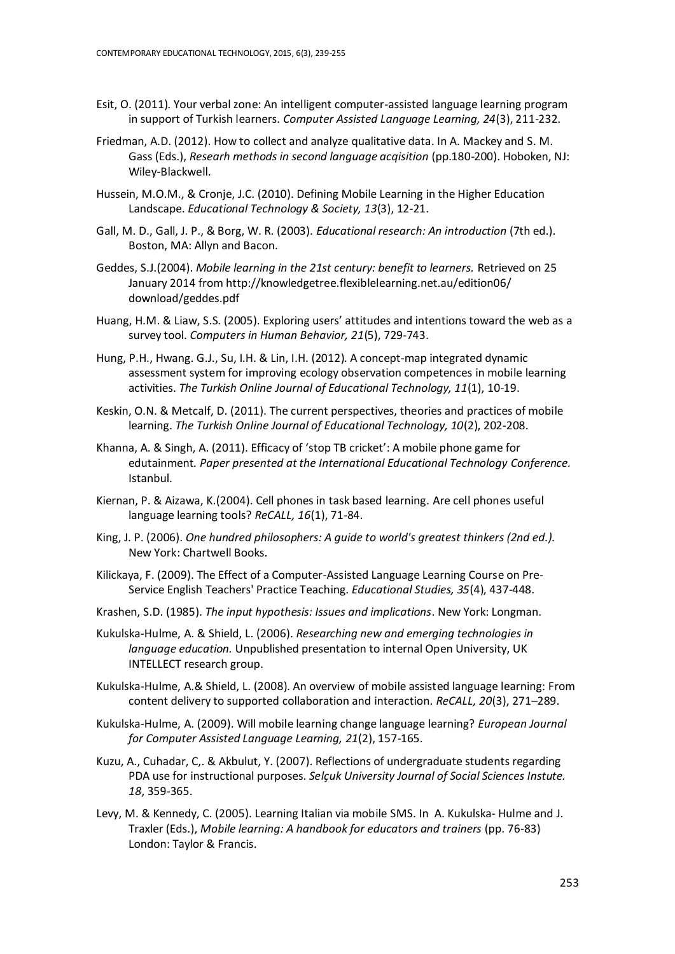- Esit, O. (2011). Your verbal zone: An intelligent computer-assisted language learning program in support of Turkish learners. *Computer Assisted Language Learning, 24*(3), 211-232.
- Friedman, A.D. (2012). How to collect and analyze qualitative data. In A. Mackey and S. M. Gass (Eds.), *Researh methods in second language acqisition* (pp.180-200). Hoboken, NJ: Wiley-Blackwell.
- Hussein, M.O.M., & Cronje, J.C. (2010). Defining Mobile Learning in the Higher Education Landscape. *Educational Technology & Society, 13*(3), 12-21.
- Gall, M. D., Gall, J. P., & Borg, W. R. (2003). *Educational research: An introduction* (7th ed.). Boston, MA: Allyn and Bacon.
- Geddes, S.J.(2004). *Mobile learning in the 21st century: benefit to learners.* Retrieved on 25 January 2014 fro[m http://knowledgetree.flexiblelearning.net.au/edition06/](http://knowledgetree.flexiblelearning.net.au/edition06/) download/geddes.pdf
- Huang, H.M. & Liaw, S.S. (2005). Exploring users' attitudes and intentions toward the web as a survey tool. *Computers in Human Behavior, 21*(5), 729-743.
- Hung, P.H., Hwang. G.J., Su, I.H. & Lin, I.H. (2012). A concept-map integrated dynamic assessment system for improving ecology observation competences in mobile learning activities. *The Turkish Online Journal of Educational Technology, 11*(1), 10-19.
- Keskin, O.N. & Metcalf, D. (2011). The current perspectives, theories and practices of mobile learning. *The Turkish Online Journal of Educational Technology, 10*(2), 202-208.
- Khanna, A. & Singh, A. (2011). Efficacy of 'stop TB cricket': A mobile phone game for edutainment*. Paper presented at the International Educational Technology Conference.* Istanbul.
- Kiernan, P. & Aizawa, K.(2004). Cell phones in task based learning. Are cell phones useful language learning tools? *ReCALL, 16*(1), 71-84.
- King, J. P. (2006). *One hundred philosophers: A guide to world's greatest thinkers (2nd ed.).* New York: Chartwell Books.
- Kilickaya, F. (2009). The Effect of a Computer-Assisted Language Learning Course on Pre-Service English Teachers' Practice Teaching. *Educational Studies, 35*(4), 437-448.
- Krashen, S.D. (1985). *The input hypothesis: Issues and implications*. New York: Longman.
- Kukulska-Hulme, A. & Shield, L. (2006). *Researching new and emerging technologies in language education.* Unpublished presentation to internal Open University, UK INTELLECT research group.
- Kukulska-Hulme, A.& Shield, L. (2008). An overview of mobile assisted language learning: From content delivery to supported collaboration and interaction. *ReCALL, 20*(3), 271–289.
- Kukulska-Hulme, A. (2009). Will mobile learning change language learning? *European Journal for Computer Assisted Language Learning, 21*(2), 157-165.
- Kuzu, A., Cuhadar, C,. & Akbulut, Y. (2007). Reflections of undergraduate students regarding PDA use for instructional purposes. *Selçuk University Journal of Social Sciences Instute. 18*, 359-365.
- Levy, M. & Kennedy, C. (2005). Learning Italian via mobile SMS. In A. Kukulska- Hulme and J. Traxler (Eds.), *Mobile learning: A handbook for educators and trainers* (pp. 76-83) London: Taylor & Francis.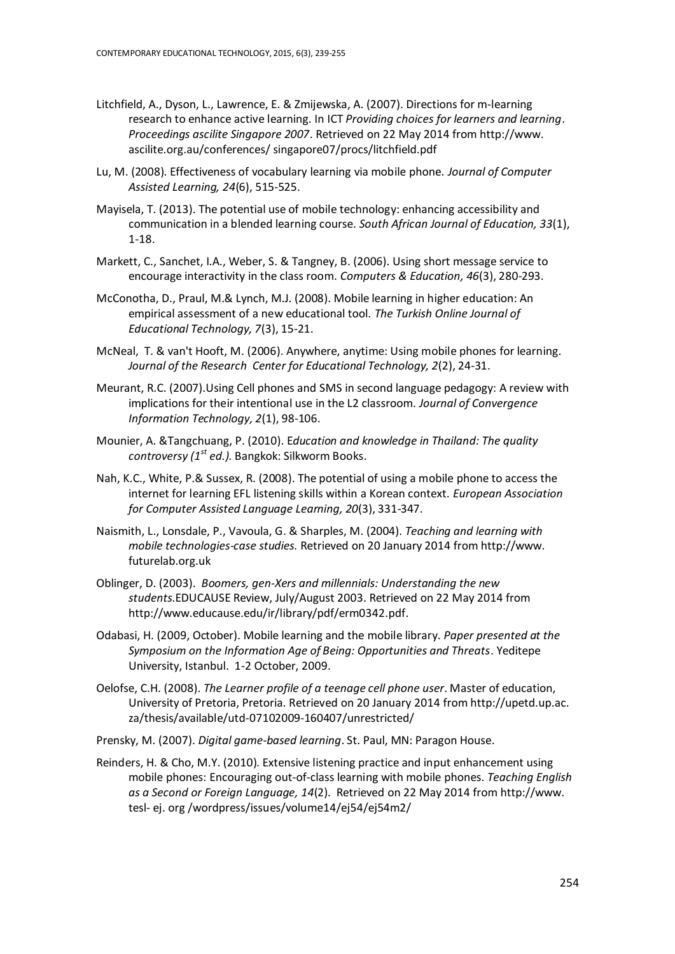- Litchfield, A., Dyson, L., Lawrence, E. & Zmijewska, A. (2007). Directions for m-learning research to enhance active learning. In ICT *Providing choices for learners and learning*. *Proceedings ascilite Singapore 2007*. Retrieved on 22 May 2014 from http://www. ascilite.org.au/conferences/ singapore07/procs/litchfield.pdf
- Lu, M. (2008). Effectiveness of vocabulary learning via mobile phone. *Journal of Computer Assisted Learning, 24*(6), 515-525.
- Mayisela, T. (2013). The potential use of mobile technology: enhancing accessibility and communication in a blended learning course. *South African Journal of Education, 33*(1), 1-18.
- Markett, C., Sanchet, I.A., Weber, S. & Tangney, B. (2006). Using short message service to encourage interactivity in the class room. *Computers & Education, 46*(3), 280-293.
- McConotha, D., Praul, M.& Lynch, M.J. (2008). Mobile learning in higher education: An empirical assessment of a new educational tool. *The Turkish Online Journal of Educational Technology, 7*(3), 15-21.
- McNeal, T. & van't Hooft, M. (2006). Anywhere, anytime: Using mobile phones for learning. *Journal of the Research Center for Educational Technology, 2*(2), 24-31.
- Meurant, R.C. (2007).Using Cell phones and SMS in second language pedagogy: A review with implications for their intentional use in the L2 classroom. *Journal of Convergence Information Technology, 2*(1), 98-106.
- Mounier, A. &Tangchuang, P. (2010). E*ducation and knowledge in Thailand: The quality controversy (1st ed.)*. Bangkok: Silkworm Books.
- Nah, K.C., White, P.& Sussex, R. (2008). The potential of using a mobile phone to access the internet for learning EFL listening skills within a Korean context. *European Association for Computer Assisted Language Learning, 20*(3), 331-347.
- Naismith, L., Lonsdale, P., Vavoula, G. & Sharples, M. (2004). *Teaching and learning with mobile technologies-case studies.* Retrieved on 20 January 2014 from http://www. futurelab.org.uk
- Oblinger, D. (2003). *Boomers, gen-Xers and millennials: Understanding the new students*.EDUCAUSE Review, July/August 2003. Retrieved on 22 May 2014 from [http://www.educause.edu/ir/library/pdf/erm0342.pdf.](http://www.educause.edu/ir/library/pdf/erm0342.pdf)
- Odabasi, H. (2009, October). Mobile learning and the mobile library. *Paper presented at the Symposium on the Information Age of Being: Opportunities and Threats*. Yeditepe University, Istanbul. 1-2 October, 2009.
- Oelofse, C.H. (2008). *The Learner profile of a teenage cell phone user*. Master of education, University of Pretoria, Pretoria. Retrieved on 20 January 2014 from http://upetd.up.ac. za/thesis/available/utd-07102009-160407/unrestricted/
- Prensky, M. (2007). *Digital game-based learning*. St. Paul, MN: Paragon House.
- Reinders, H. & Cho, M.Y. (2010). Extensive listening practice and input enhancement using mobile phones: Encouraging out-of-class learning with mobile phones. *Teaching English as a Second or Foreign Language, 14*(2). Retrieved on 22 May 2014 fro[m http://www.](http://www/) tesl- ej. org /wordpress/issues/volume14/ej54/ej54m2/